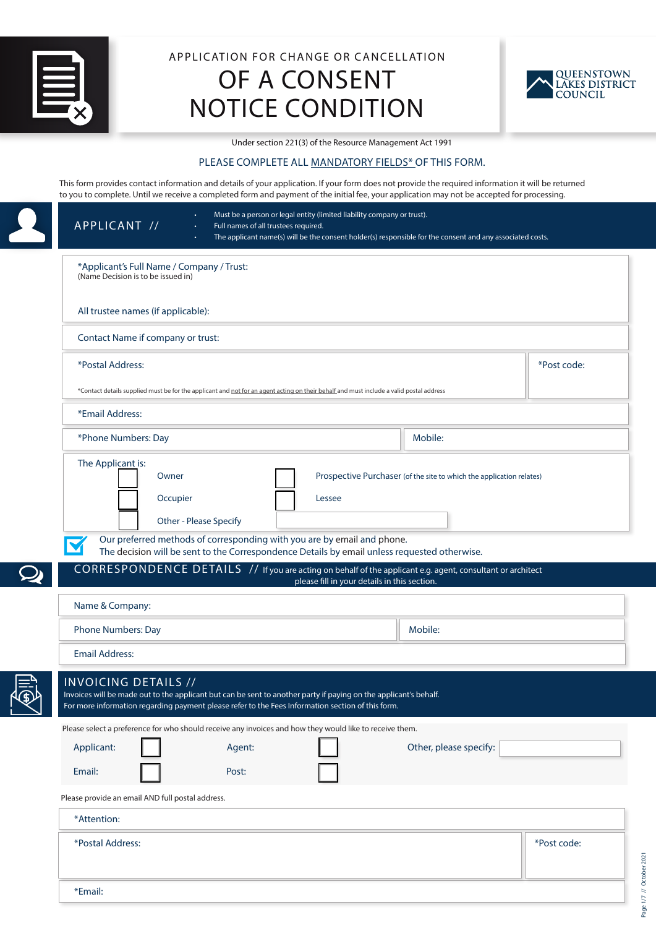

# APPLICATION FOR CHANGE OR CANCELLATION OF A CONSENT NOTICE CONDITION



Under section 221(3) of the Resource Management Act 1991

# PLEASE COMPLETE ALL MANDATORY FIELDS\* OF THIS FORM.

This form provides contact information and details of your application. If your form does not provide the required information it will be returned to you to complete. Until we receive a completed form and payment of the initial fee, your application may not be accepted for processing.

| APPLICANT //<br>Full names of all trustees required.                                                                                                                                                                                                                                                                                  | Must be a person or legal entity (limited liability company or trust).<br>The applicant name(s) will be the consent holder(s) responsible for the consent and any associated costs. |             |
|---------------------------------------------------------------------------------------------------------------------------------------------------------------------------------------------------------------------------------------------------------------------------------------------------------------------------------------|-------------------------------------------------------------------------------------------------------------------------------------------------------------------------------------|-------------|
| *Applicant's Full Name / Company / Trust:<br>(Name Decision is to be issued in)                                                                                                                                                                                                                                                       |                                                                                                                                                                                     |             |
| All trustee names (if applicable):                                                                                                                                                                                                                                                                                                    |                                                                                                                                                                                     |             |
| Contact Name if company or trust:                                                                                                                                                                                                                                                                                                     |                                                                                                                                                                                     |             |
| *Postal Address:                                                                                                                                                                                                                                                                                                                      |                                                                                                                                                                                     | *Post code: |
| *Contact details supplied must be for the applicant and not for an agent acting on their behalf and must include a valid postal address                                                                                                                                                                                               |                                                                                                                                                                                     |             |
| *Email Address:                                                                                                                                                                                                                                                                                                                       |                                                                                                                                                                                     |             |
| *Phone Numbers: Day                                                                                                                                                                                                                                                                                                                   | Mobile:                                                                                                                                                                             |             |
| Occupier<br>Lessee<br>Other - Please Specify<br>Our preferred methods of corresponding with you are by email and phone.<br>The decision will be sent to the Correspondence Details by email unless requested otherwise.<br>CORRESPONDENCE DETAILS // If you are acting on behalf of the applicant e.g. agent, consultant or architect |                                                                                                                                                                                     |             |
|                                                                                                                                                                                                                                                                                                                                       | please fill in your details in this section.                                                                                                                                        |             |
| Name & Company:                                                                                                                                                                                                                                                                                                                       |                                                                                                                                                                                     |             |
| Phone Numbers: Day                                                                                                                                                                                                                                                                                                                    | Mobile:                                                                                                                                                                             |             |
| <b>Email Address:</b>                                                                                                                                                                                                                                                                                                                 |                                                                                                                                                                                     |             |
| <b>INVOICING DETAILS //</b><br>Invoices will be made out to the applicant but can be sent to another party if paying on the applicant's behalf.<br>For more information regarding payment please refer to the Fees Information section of this form.                                                                                  |                                                                                                                                                                                     |             |
| Please select a preference for who should receive any invoices and how they would like to receive them.                                                                                                                                                                                                                               |                                                                                                                                                                                     |             |
| Applicant:<br>Agent:<br>Email:<br>Post:                                                                                                                                                                                                                                                                                               | Other, please specify:                                                                                                                                                              |             |
| Please provide an email AND full postal address.                                                                                                                                                                                                                                                                                      |                                                                                                                                                                                     |             |
| *Attention:                                                                                                                                                                                                                                                                                                                           |                                                                                                                                                                                     |             |
| *Postal Address:                                                                                                                                                                                                                                                                                                                      |                                                                                                                                                                                     | *Post code: |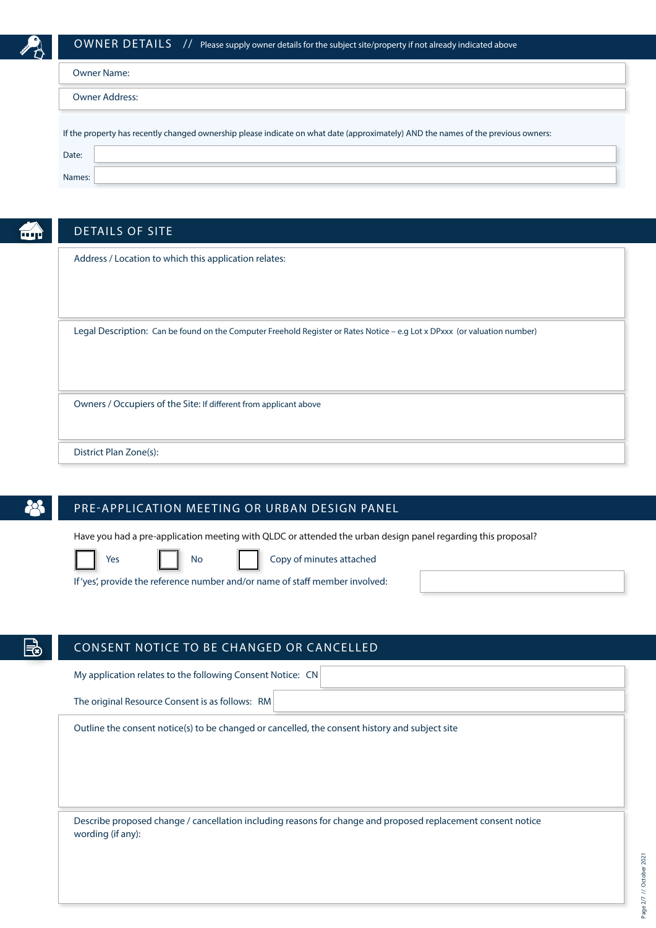

|                                                                                                                                   | <b>Owner Name:</b> |  |  |
|-----------------------------------------------------------------------------------------------------------------------------------|--------------------|--|--|
| <b>Owner Address:</b>                                                                                                             |                    |  |  |
| If the property has recently changed ownership please indicate on what date (approximately) AND the names of the previous owners: |                    |  |  |
| Date:                                                                                                                             |                    |  |  |
| Names:                                                                                                                            |                    |  |  |

|  | . . |  |
|--|-----|--|

# DETAILS OF SITE

Address / Location to which this application relates:

Legal Description: Can be found on the Computer Freehold Register or Rates Notice – e.g Lot x DPxxx (or valuation number)

Owners / Occupiers of the Site: If different from applicant above

District Plan Zone(s):

# PRE-APPLICATION MEETING OR URBAN DESIGN PANEL

Have you had a pre-application meeting with QLDC or attended the urban design panel regarding this proposal?



Yes **No Copy of minutes attached** 

If 'yes', provide the reference number and/or name of staff member involved:

# CONSENT NOTICE TO BE CHANGED OR CANCELLED

My application relates to the following Consent Notice: CN

The original Resource Consent is as follows: RM

Outline the consent notice(s) to be changed or cancelled, the consent history and subject site

Describe proposed change / cancellation including reasons for change and proposed replacement consent notice wording (if any):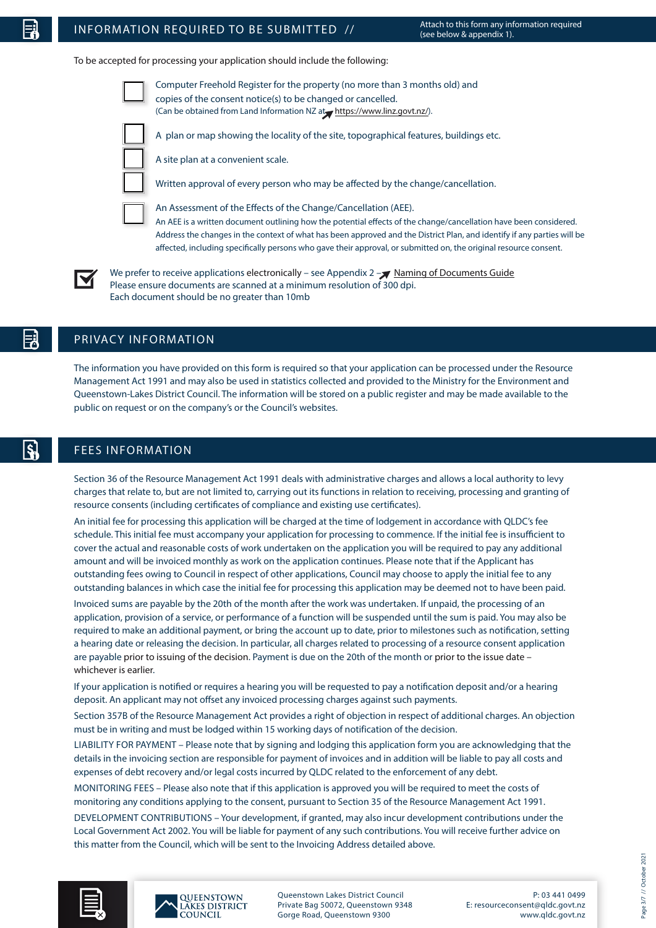# INFORMATION REQUIRED TO BE SUBMITTED  $\frac{1}{2}$  Attach to this form any information required

To be accepted for processing your application should include the following:



Computer Freehold Register for the property (no more than 3 months old) and copies of the consent notice(s) to be changed or cancelled. (Can be obtained from Land Information NZ at https://www.linz.govt.nz/).



A plan or map showing the locality of the site, topographical features, buildings etc.

A site plan at a convenient scale.

Written approval of every person who may be affected by the change/cancellation.

An Assessment of the Effects of the Change/Cancellation (AEE). An AEE is a written document outlining how the potential effects of the change/cancellation have been considered. Address the changes in the context of what has been approved and the District Plan, and identify if any parties will be affected, including specifically persons who gave their approval, or submitted on, the original resource consent.



We prefer to receive applications electronically – see Appendix  $2 -\sqrt{\frac{N \cdot N}{N}}$  [Naming of Documents Guide](#page-6-0) Please ensure documents are scanned at a minimum resolution of 300 dpi. Each document should be no greater than 10mb

# PRIVACY INFORMATION

The information you have provided on this form is required so that your application can be processed under the Resource Management Act 1991 and may also be used in statistics collected and provided to the Ministry for the Environment and Queenstown-Lakes District Council. The information will be stored on a public register and may be made available to the public on request or on the company's or the Council's websites.

# FEES INFORMATION

Section 36 of the Resource Management Act 1991 deals with administrative charges and allows a local authority to levy charges that relate to, but are not limited to, carrying out its functions in relation to receiving, processing and granting of resource consents (including certificates of compliance and existing use certificates).

An initial fee for processing this application will be charged at the time of lodgement in accordance with QLDC's fee schedule. This initial fee must accompany your application for processing to commence. If the initial fee is insufficient to cover the actual and reasonable costs of work undertaken on the application you will be required to pay any additional amount and will be invoiced monthly as work on the application continues. Please note that if the Applicant has outstanding fees owing to Council in respect of other applications, Council may choose to apply the initial fee to any outstanding balances in which case the initial fee for processing this application may be deemed not to have been paid.

Invoiced sums are payable by the 20th of the month after the work was undertaken. If unpaid, the processing of an application, provision of a service, or performance of a function will be suspended until the sum is paid. You may also be required to make an additional payment, or bring the account up to date, prior to milestones such as notification, setting a hearing date or releasing the decision. In particular, all charges related to processing of a resource consent application are payable prior to issuing of the decision. Payment is due on the 20th of the month or prior to the issue date – whichever is earlier.

If your application is notified or requires a hearing you will be requested to pay a notification deposit and/or a hearing deposit. An applicant may not offset any invoiced processing charges against such payments.

Section 357B of the Resource Management Act provides a right of objection in respect of additional charges. An objection must be in writing and must be lodged within 15 working days of notification of the decision.

LIABILITY FOR PAYMENT – Please note that by signing and lodging this application form you are acknowledging that the details in the invoicing section are responsible for payment of invoices and in addition will be liable to pay all costs and expenses of debt recovery and/or legal costs incurred by QLDC related to the enforcement of any debt.

MONITORING FEES – Please also note that if this application is approved you will be required to meet the costs of monitoring any conditions applying to the consent, pursuant to Section 35 of the Resource Management Act 1991.

DEVELOPMENT CONTRIBUTIONS – Your development, if granted, may also incur development contributions under the Local Government Act 2002. You will be liable for payment of any such contributions. You will receive further advice on this matter from the Council, which will be sent to the Invoicing Address detailed above.





Queenstown Lakes District Council Private Bag 50072, Queenstown 9348 Gorge Road, Queenstown 9300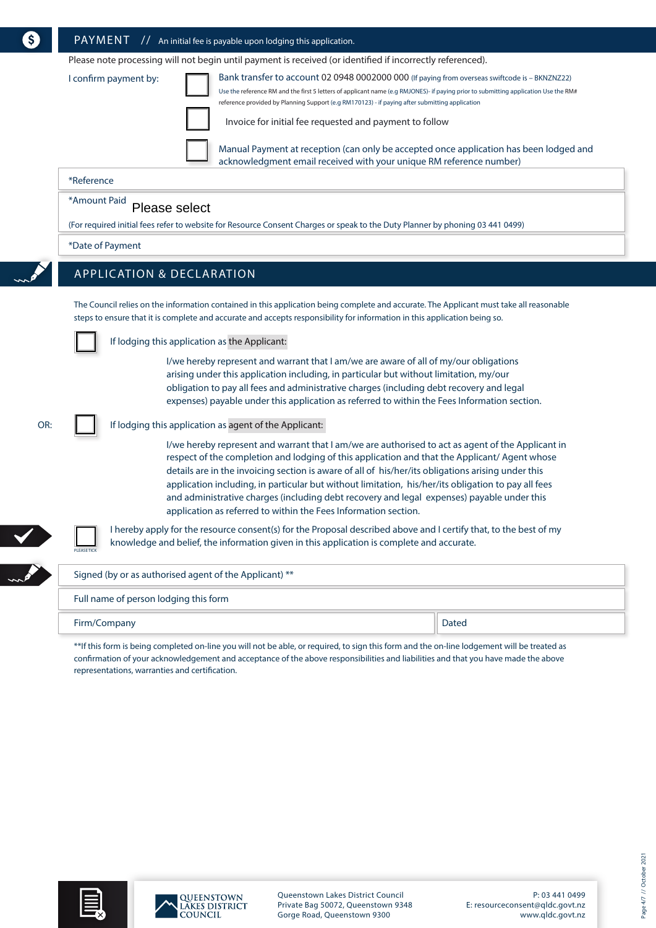|  |  | $\overline{\text{PAYMENT}}$ // An initial fee is payable upon lodging this application |
|--|--|----------------------------------------------------------------------------------------|
|--|--|----------------------------------------------------------------------------------------|

Please note processing will not begin until payment is received (or identified if incorrectly referenced).

|  | confirm payment by: |  |
|--|---------------------|--|
|--|---------------------|--|

Bank transfer to account 02 0948 0002000 000 (If paying from overseas swiftcode is - BKNZNZ22) Use the reference RM and the first 5 letters of applicant name (e.g RMJONES)- if paying prior to submitting application Use the RM# reference provided by Planning Support (e.g RM170123) - if paying after submitting application

Invoice for initial fee requested and payment to follow

Manual Payment at reception (can only be accepted once application has been lodged and acknowledgment email received with your unique RM reference number)

### \*Reference

#### \*Amount Paid Please select

(For required initial fees refer to website for Resource Consent Charges or speak to the Duty Planner by phoning 03 441 0499)

## \*Date of Payment

# APPLICATION & DECLARATION

The Council relies on the information contained in this application being complete and accurate. The Applicant must take all reasonable steps to ensure that it is complete and accurate and accepts responsibility for information in this application being so.

### If lodging this application as the Applicant:

I/we hereby represent and warrant that I am/we are aware of all of my/our obligations arising under this application including, in particular but without limitation, my/our obligation to pay all fees and administrative charges (including debt recovery and legal expenses) payable under this application as referred to within the Fees Information section.

### OR:

### If lodging this application as agent of the Applicant:

I/we hereby represent and warrant that I am/we are authorised to act as agent of the Applicant in respect of the completion and lodging of this application and that the Applicant/ Agent whose details are in the invoicing section is aware of all of his/her/its obligations arising under this application including, in particular but without limitation, his/her/its obligation to pay all fees and administrative charges (including debt recovery and legal expenses) payable under this application as referred to within the Fees Information section.



PLEASE TICK

I hereby apply for the resource consent(s) for the Proposal described above and I certify that, to the best of my knowledge and belief, the information given in this application is complete and accurate.

| Signed (by or as authorised agent of the Applicant) ** |       |  |
|--------------------------------------------------------|-------|--|
| Full name of person lodging this form                  |       |  |
| Firm/Company                                           | Dated |  |

\*\*If this form is being completed on-line you will not be able, or required, to sign this form and the on-line lodgement will be treated as confirmation of your acknowledgement and acceptance of the above responsibilities and liabilities and that you have made the above representations, warranties and certification.





Queenstown Lakes District Council Private Bag 50072, Queenstown 9348 Gorge Road, Queenstown 9300

P: 03 441 0499 E: resourceconsent@qldc.govt.nz www.qldc.govt.nz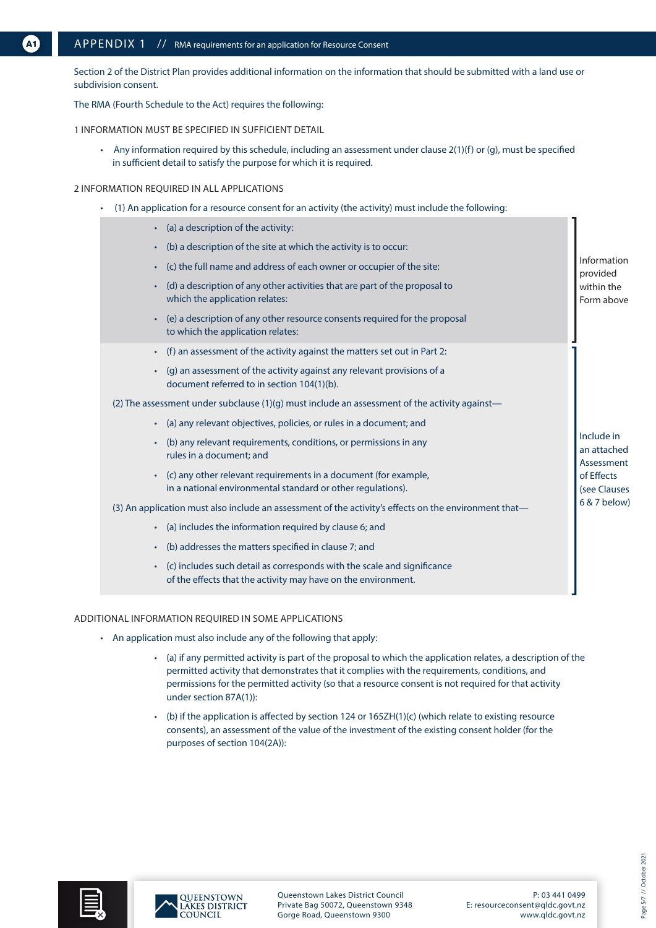Section 2 of the District Plan provides additional information on the information that should be submitted with a land use or subdivision consent.

The RMA (Fourth Schedule to the Act) requires the following:

1 INFORMATION MUST BE SPECIFIED IN SUFFICIENT DETAIL

• Any information required by this schedule, including an assessment under clause 2(1)(f) or (g), must be specified in sufficient detail to satisfy the purpose for which it is required.

### 2 INFORMATION REQUIRED IN ALL APPLICATIONS

• (1) An application for a resource consent for an activity (the activity) must include the following:

| (a) a description of the activity:<br>$\bullet$                                                                                          |                                         |  |  |
|------------------------------------------------------------------------------------------------------------------------------------------|-----------------------------------------|--|--|
| (b) a description of the site at which the activity is to occur:<br>$\bullet$                                                            |                                         |  |  |
| (c) the full name and address of each owner or occupier of the site:<br>٠                                                                | Information<br>provided                 |  |  |
| (d) a description of any other activities that are part of the proposal to<br>$\bullet$<br>which the application relates:                | within the<br>Form above                |  |  |
| (e) a description of any other resource consents required for the proposal<br>to which the application relates:                          |                                         |  |  |
| (f) an assessment of the activity against the matters set out in Part 2:<br>$\bullet$                                                    |                                         |  |  |
| (g) an assessment of the activity against any relevant provisions of a<br>document referred to in section 104(1)(b).                     |                                         |  |  |
| (2) The assessment under subclause (1)(g) must include an assessment of the activity against-                                            |                                         |  |  |
| (a) any relevant objectives, policies, or rules in a document; and<br>٠                                                                  |                                         |  |  |
| (b) any relevant requirements, conditions, or permissions in any<br>rules in a document; and                                             | Include in<br>an attached<br>Assessment |  |  |
| (c) any other relevant requirements in a document (for example,<br>in a national environmental standard or other regulations).           | of Effects<br>(see Clauses              |  |  |
| (3) An application must also include an assessment of the activity's effects on the environment that—                                    |                                         |  |  |
| (a) includes the information required by clause 6; and<br>$\bullet$                                                                      |                                         |  |  |
| (b) addresses the matters specified in clause 7; and<br>$\bullet$                                                                        |                                         |  |  |
| (c) includes such detail as corresponds with the scale and significance<br>of the effects that the activity may have on the environment. |                                         |  |  |

### ADDITIONAL INFORMATION REQUIRED IN SOME APPLICATIONS

- An application must also include any of the following that apply:
	- (a) if any permitted activity is part of the proposal to which the application relates, a description of the permitted activity that demonstrates that it complies with the requirements, conditions, and permissions for the permitted activity (so that a resource consent is not required for that activity under section 87A(1)):
	- (b) if the application is affected by section 124 or 165ZH(1)(c) (which relate to existing resource consents), an assessment of the value of the investment of the existing consent holder (for the purposes of section 104(2A)):





Queenstown Lakes District Council Private Bag 50072, Queenstown 9348 Gorge Road, Queenstown 9300

P: 03 441 0499 E: resourceconsent@qldc.govt.nz www.qldc.govt.nz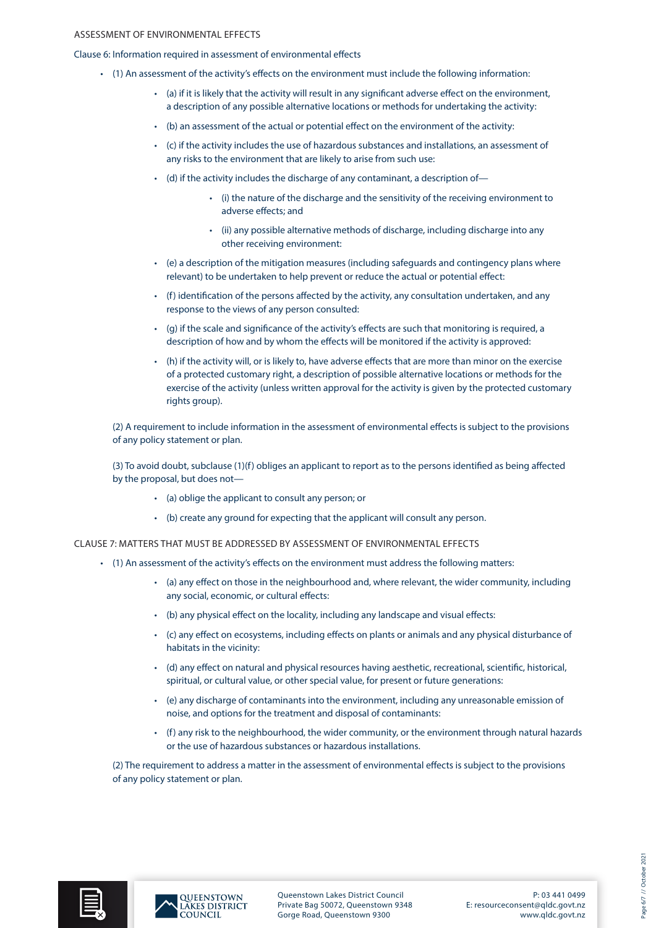### ASSESSMENT OF ENVIRONMENTAL EFFECTS

Clause 6: Information required in assessment of environmental effects

- (1) An assessment of the activity's effects on the environment must include the following information:
	- (a) if it is likely that the activity will result in any significant adverse effect on the environment, a description of any possible alternative locations or methods for undertaking the activity:
	- (b) an assessment of the actual or potential effect on the environment of the activity:
	- (c) if the activity includes the use of hazardous substances and installations, an assessment of any risks to the environment that are likely to arise from such use:
	- (d) if the activity includes the discharge of any contaminant, a description of—
		- (i) the nature of the discharge and the sensitivity of the receiving environment to adverse effects; and
		- (ii) any possible alternative methods of discharge, including discharge into any other receiving environment:
	- (e) a description of the mitigation measures (including safeguards and contingency plans where relevant) to be undertaken to help prevent or reduce the actual or potential effect:
	- (f) identification of the persons affected by the activity, any consultation undertaken, and any response to the views of any person consulted:
	- (g) if the scale and significance of the activity's effects are such that monitoring is required, a description of how and by whom the effects will be monitored if the activity is approved:
	- (h) if the activity will, or is likely to, have adverse effects that are more than minor on the exercise of a protected customary right, a description of possible alternative locations or methods for the exercise of the activity (unless written approval for the activity is given by the protected customary rights group).

(2) A requirement to include information in the assessment of environmental effects is subject to the provisions of any policy statement or plan.

(3) To avoid doubt, subclause (1)(f) obliges an applicant to report as to the persons identified as being affected by the proposal, but does not—

- (a) oblige the applicant to consult any person; or
- (b) create any ground for expecting that the applicant will consult any person.

CLAUSE 7: MATTERS THAT MUST BE ADDRESSED BY ASSESSMENT OF ENVIRONMENTAL EFFECTS

- (1) An assessment of the activity's effects on the environment must address the following matters:
	- (a) any effect on those in the neighbourhood and, where relevant, the wider community, including any social, economic, or cultural effects:
	- (b) any physical effect on the locality, including any landscape and visual effects:
	- (c) any effect on ecosystems, including effects on plants or animals and any physical disturbance of habitats in the vicinity:
	- (d) any effect on natural and physical resources having aesthetic, recreational, scientific, historical, spiritual, or cultural value, or other special value, for present or future generations:
	- (e) any discharge of contaminants into the environment, including any unreasonable emission of noise, and options for the treatment and disposal of contaminants:
	- (f) any risk to the neighbourhood, the wider community, or the environment through natural hazards or the use of hazardous substances or hazardous installations.

(2) The requirement to address a matter in the assessment of environmental effects is subject to the provisions of any policy statement or plan.